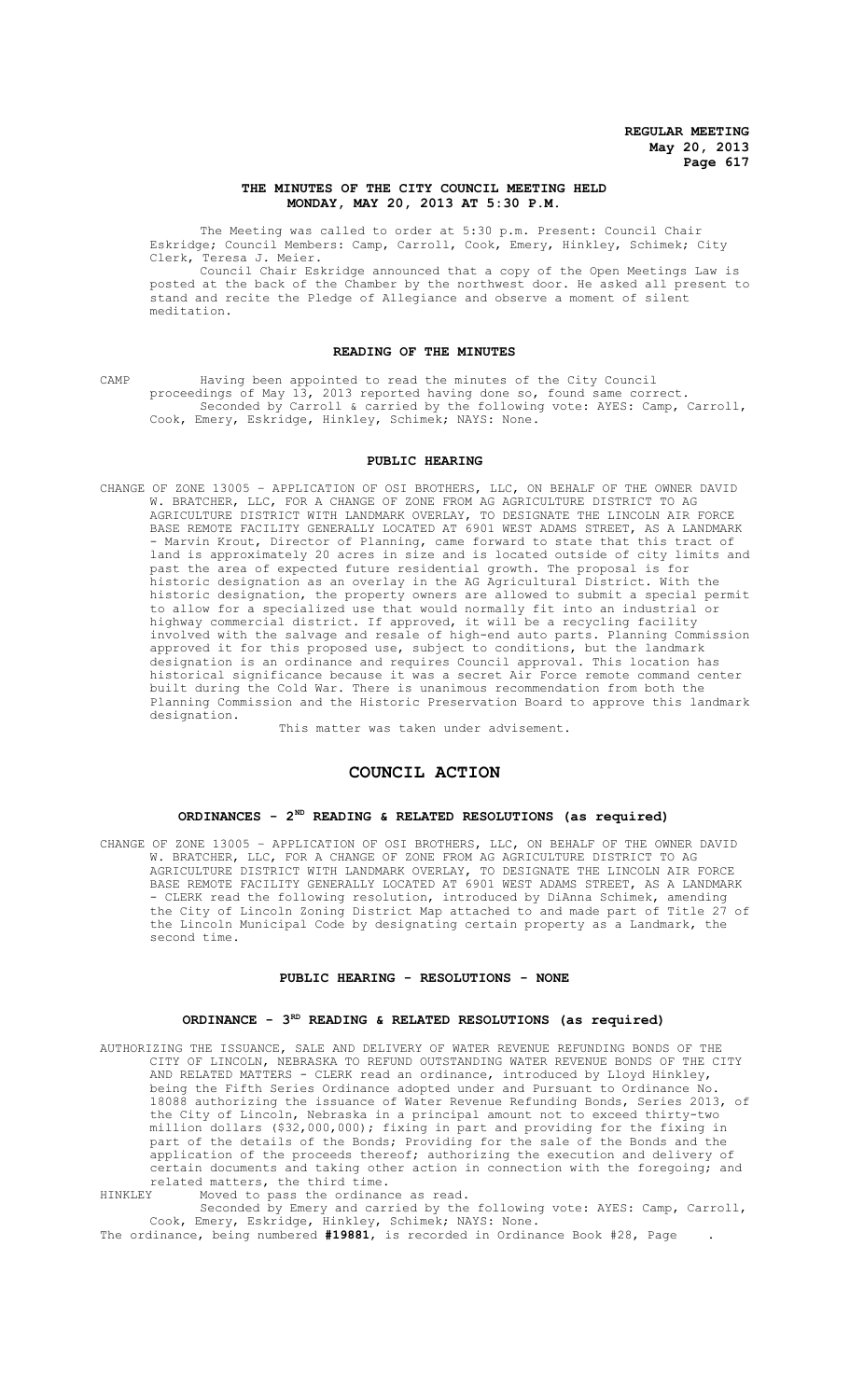## **THE MINUTES OF THE CITY COUNCIL MEETING HELD MONDAY, MAY 20, 2013 AT 5:30 P.M.**

The Meeting was called to order at 5:30 p.m. Present: Council Chair Eskridge; Council Members: Camp, Carroll, Cook, Emery, Hinkley, Schimek; City Clerk, Teresa J. Meier.

Council Chair Eskridge announced that a copy of the Open Meetings Law is posted at the back of the Chamber by the northwest door. He asked all present to stand and recite the Pledge of Allegiance and observe a moment of silent meditation.

## **READING OF THE MINUTES**

CAMP Having been appointed to read the minutes of the City Council proceedings of May 13, 2013 reported having done so, found same correct. Seconded by Carroll & carried by the following vote: AYES: Camp, Carroll, Cook, Emery, Eskridge, Hinkley, Schimek; NAYS: None.

## **PUBLIC HEARING**

CHANGE OF ZONE 13005 – APPLICATION OF OSI BROTHERS, LLC, ON BEHALF OF THE OWNER DAVID W. BRATCHER, LLC, FOR A CHANGE OF ZONE FROM AG AGRICULTURE DISTRICT TO AG AGRICULTURE DISTRICT WITH LANDMARK OVERLAY, TO DESIGNATE THE LINCOLN AIR FORCE BASE REMOTE FACILITY GENERALLY LOCATED AT 6901 WEST ADAMS STREET, AS A LANDMARK Marvin Krout, Director of Planning, came forward to state that this tract of land is approximately 20 acres in size and is located outside of city limits and<br>past the area of expected future residential growth. The proposal is for past the area of expected future residential growth. The proposal is historic designation as an overlay in the AG Agricultural District. With the historic designation, the property owners are allowed to submit a special permit to allow for a specialized use that would normally fit into an industrial or highway commercial district. If approved, it will be a recycling facility involved with the salvage and resale of high-end auto parts. Planning Commission approved it for this proposed use, subject to conditions, but the landmark designation is an ordinance and requires Council approval. This location has historical significance because it was a secret Air Force remote command center built during the Cold War. There is unanimous recommendation from both the Planning Commission and the Historic Preservation Board to approve this landmark designation.

This matter was taken under advisement.

# **COUNCIL ACTION**

#### **ORDINANCES - 2ND READING & RELATED RESOLUTIONS (as required)**

CHANGE OF ZONE 13005 – APPLICATION OF OSI BROTHERS, LLC, ON BEHALF OF THE OWNER DAVID W. BRATCHER, LLC, FOR A CHANGE OF ZONE FROM AG AGRICULTURE DISTRICT TO AG AGRICULTURE DISTRICT WITH LANDMARK OVERLAY, TO DESIGNATE THE LINCOLN AIR FORCE BASE REMOTE FACILITY GENERALLY LOCATED AT 6901 WEST ADAMS STREET, AS A LANDMARK - CLERK read the following resolution, introduced by DiAnna Schimek, amending the City of Lincoln Zoning District Map attached to and made part of Title 27 of the Lincoln Municipal Code by designating certain property as a Landmark, the second time.

## **PUBLIC HEARING - RESOLUTIONS - NONE**

# ORDINANCE -  $3^{RD}$  READING & RELATED RESOLUTIONS (as required)

AUTHORIZING THE ISSUANCE, SALE AND DELIVERY OF WATER REVENUE REFUNDING BONDS OF THE CITY OF LINCOLN, NEBRASKA TO REFUND OUTSTANDING WATER REVENUE BONDS OF THE CITY AND RELATED MATTERS - CLERK read an ordinance, introduced by Lloyd Hinkley, being the Fifth Series Ordinance adopted under and Pursuant to Ordinance No. 18088 authorizing the issuance of Water Revenue Refunding Bonds, Series 2013, of the City of Lincoln, Nebraska in a principal amount not to exceed thirty-two million dollars (\$32,000,000); fixing in part and providing for the fixing in part of the details of the Bonds; Providing for the sale of the Bonds and the application of the proceeds thereof; authorizing the execution and delivery of certain documents and taking other action in connection with the foregoing; and related matters, the third time.

HINKLEY Moved to pass the ordinance as read. Seconded by Emery and carried by the following vote: AYES: Camp, Carroll, Cook, Emery, Eskridge, Hinkley, Schimek; NAYS: None.

The ordinance, being numbered **#19881**, is recorded in Ordinance Book #28, Page .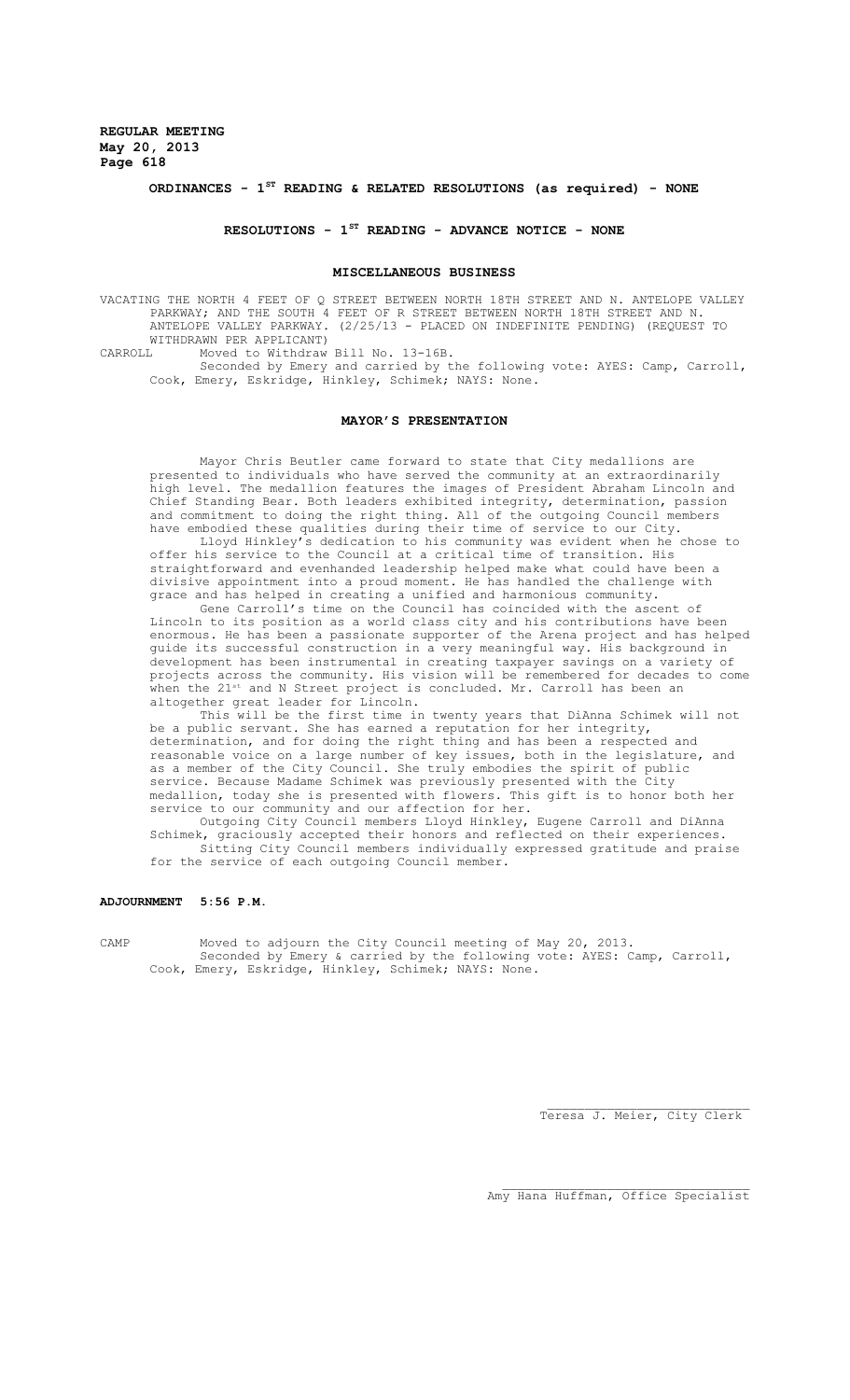## **ORDINANCES - 1ST READING & RELATED RESOLUTIONS (as required) - NONE**

## **RESOLUTIONS - 1ST READING - ADVANCE NOTICE - NONE**

#### **MISCELLANEOUS BUSINESS**

VACATING THE NORTH 4 FEET OF Q STREET BETWEEN NORTH 18TH STREET AND N. ANTELOPE VALLEY PARKWAY; AND THE SOUTH 4 FEET OF R STREET BETWEEN NORTH 18TH STREET AND N. ANTELOPE VALLEY PARKWAY. (2/25/13 - PLACED ON INDEFINITE PENDING) (REQUEST TO WITHDRAWN PER APPLICANT)<br>CARROLL Moved to Withdraw Moved to Withdraw Bill No. 13-16B.

Seconded by Emery and carried by the following vote: AYES: Camp, Carroll, Cook, Emery, Eskridge, Hinkley, Schimek; NAYS: None.

#### **MAYOR'S PRESENTATION**

Mayor Chris Beutler came forward to state that City medallions are presented to individuals who have served the community at an extraordinarily high level. The medallion features the images of President Abraham Lincoln and Chief Standing Bear. Both leaders exhibited integrity, determination, passion and commitment to doing the right thing. All of the outgoing Council members have embodied these qualities during their time of service to our City.

Lloyd Hinkley's dedication to his community was evident when he chose to offer his service to the Council at a critical time of transition. His straightforward and evenhanded leadership helped make what could have been a divisive appointment into a proud moment. He has handled the challenge with grace and has helped in creating a unified and harmonious community.

Gene Carroll's time on the Council has coincided with the ascent of Lincoln to its position as a world class city and his contributions have been enormous. He has been a passionate supporter of the Arena project and has helped guide its successful construction in a very meaningful way. His background in development has been instrumental in creating taxpayer savings on a variety of projects across the community. His vision will be remembered for decades to come when the 21st and N Street project is concluded. Mr. Carroll has been an altogether great leader for Lincoln.

This will be the first time in twenty years that DiAnna Schimek will not be a public servant. She has earned a reputation for her integrity, determination, and for doing the right thing and has been a respected and reasonable voice on a large number of key issues, both in the legislature, and as a member of the City Council. She truly embodies the spirit of public service. Because Madame Schimek was previously presented with the City medallion, today she is presented with flowers. This gift is to honor both her service to our community and our affection for her.

Outgoing City Council members Lloyd Hinkley, Eugene Carroll and DiAnna Schimek, graciously accepted their honors and reflected on their experiences. Sitting City Council members individually expressed gratitude and praise for the service of each outgoing Council member.

**ADJOURNMENT 5:56 P.M.**

CAMP Moved to adjourn the City Council meeting of May 20, 2013. Seconded by Emery & carried by the following vote: AYES: Camp, Carroll, Cook, Emery, Eskridge, Hinkley, Schimek; NAYS: None.

Teresa J. Meier, City Clerk

Amy Hana Huffman, Office Specialist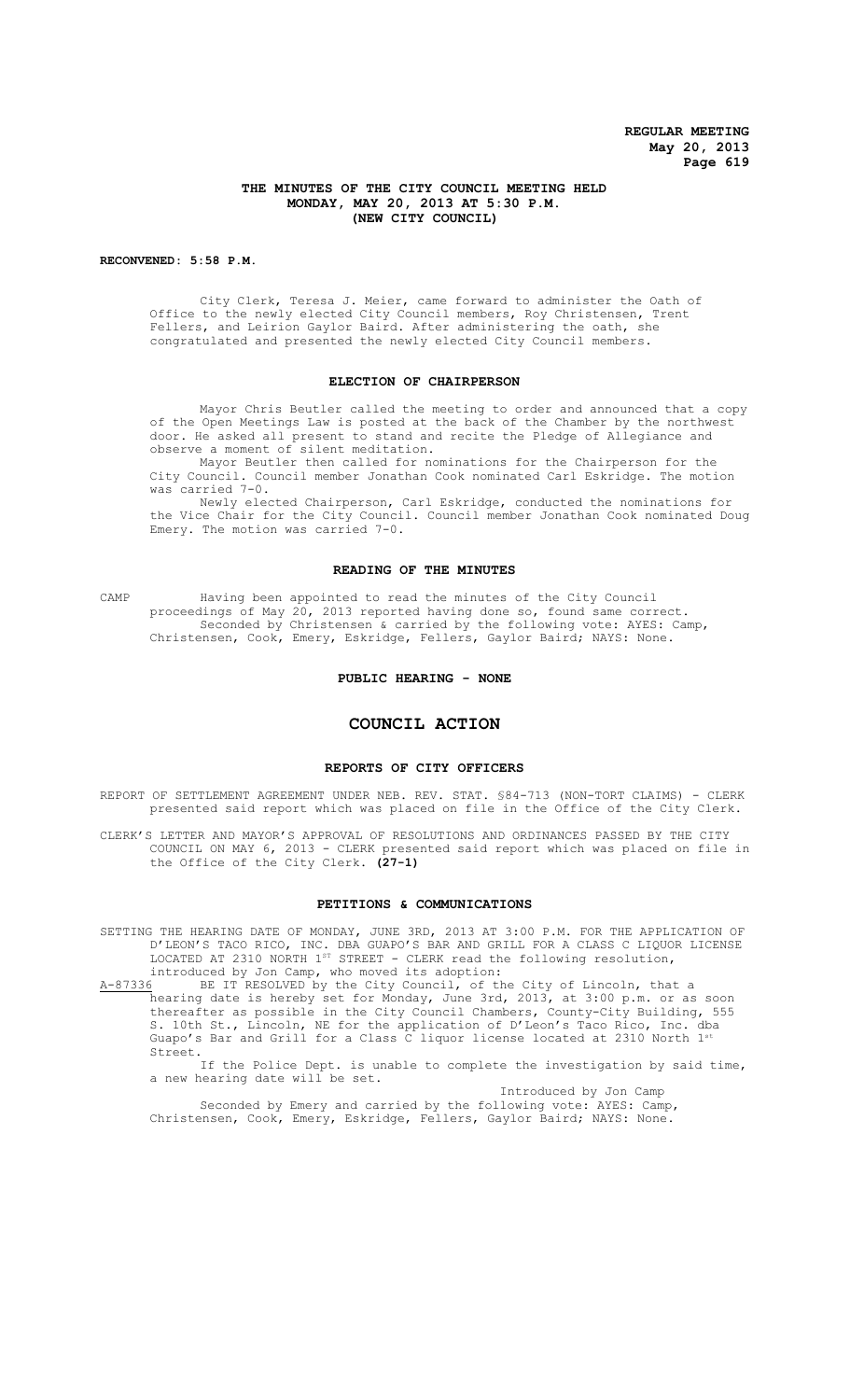## **THE MINUTES OF THE CITY COUNCIL MEETING HELD MONDAY, MAY 20, 2013 AT 5:30 P.M. (NEW CITY COUNCIL)**

#### **RECONVENED: 5:58 P.M.**

City Clerk, Teresa J. Meier, came forward to administer the Oath of Office to the newly elected City Council members, Roy Christensen, Trent Fellers, and Leirion Gaylor Baird. After administering the oath, she congratulated and presented the newly elected City Council members.

#### **ELECTION OF CHAIRPERSON**

Mayor Chris Beutler called the meeting to order and announced that a copy of the Open Meetings Law is posted at the back of the Chamber by the northwest door. He asked all present to stand and recite the Pledge of Allegiance and observe a moment of silent meditation.

Mayor Beutler then called for nominations for the Chairperson for the City Council. Council member Jonathan Cook nominated Carl Eskridge. The motion was carried 7-0.

Newly elected Chairperson, Carl Eskridge, conducted the nominations for the Vice Chair for the City Council. Council member Jonathan Cook nominated Doug Emery. The motion was carried 7-0.

## **READING OF THE MINUTES**

CAMP Having been appointed to read the minutes of the City Council proceedings of May 20, 2013 reported having done so, found same correct. Seconded by Christensen & carried by the following vote: AYES: Camp, Christensen, Cook, Emery, Eskridge, Fellers, Gaylor Baird; NAYS: None.

#### **PUBLIC HEARING - NONE**

## **COUNCIL ACTION**

#### **REPORTS OF CITY OFFICERS**

REPORT OF SETTLEMENT AGREEMENT UNDER NEB. REV. STAT. §84-713 (NON-TORT CLAIMS) - CLERK presented said report which was placed on file in the Office of the City Clerk.

CLERK'S LETTER AND MAYOR'S APPROVAL OF RESOLUTIONS AND ORDINANCES PASSED BY THE CITY COUNCIL ON MAY 6, 2013 - CLERK presented said report which was placed on file in the Office of the City Clerk. **(27-1)**

#### **PETITIONS & COMMUNICATIONS**

SETTING THE HEARING DATE OF MONDAY, JUNE 3RD, 2013 AT 3:00 P.M. FOR THE APPLICATION OF D'LEON'S TACO RICO, INC. DBA GUAPO'S BAR AND GRILL FOR A CLASS C LIQUOR LICENSE LOCATED AT 2310 NORTH  $1^{ST}$  STREET - CLERK read the following resolution, introduced by Jon Camp, who moved its adoption:

A-87336 BE IT RESOLVED by the City Council, of the City of Lincoln, that a hearing date is hereby set for Monday, June 3rd, 2013, at 3:00 p.m. or as soon thereafter as possible in the City Council Chambers, County-City Building, 555 S. 10th St., Lincoln, NE for the application of D'Leon's Taco Rico, Inc. dba Guapo's Bar and Grill for a Class  $\overline{C}$  liquor license located at 2310 North 1<sup>s</sup> Street.

If the Police Dept. is unable to complete the investigation by said time, a new hearing date will be set.

Introduced by Jon Camp Seconded by Emery and carried by the following vote: AYES: Camp, Christensen, Cook, Emery, Eskridge, Fellers, Gaylor Baird; NAYS: None.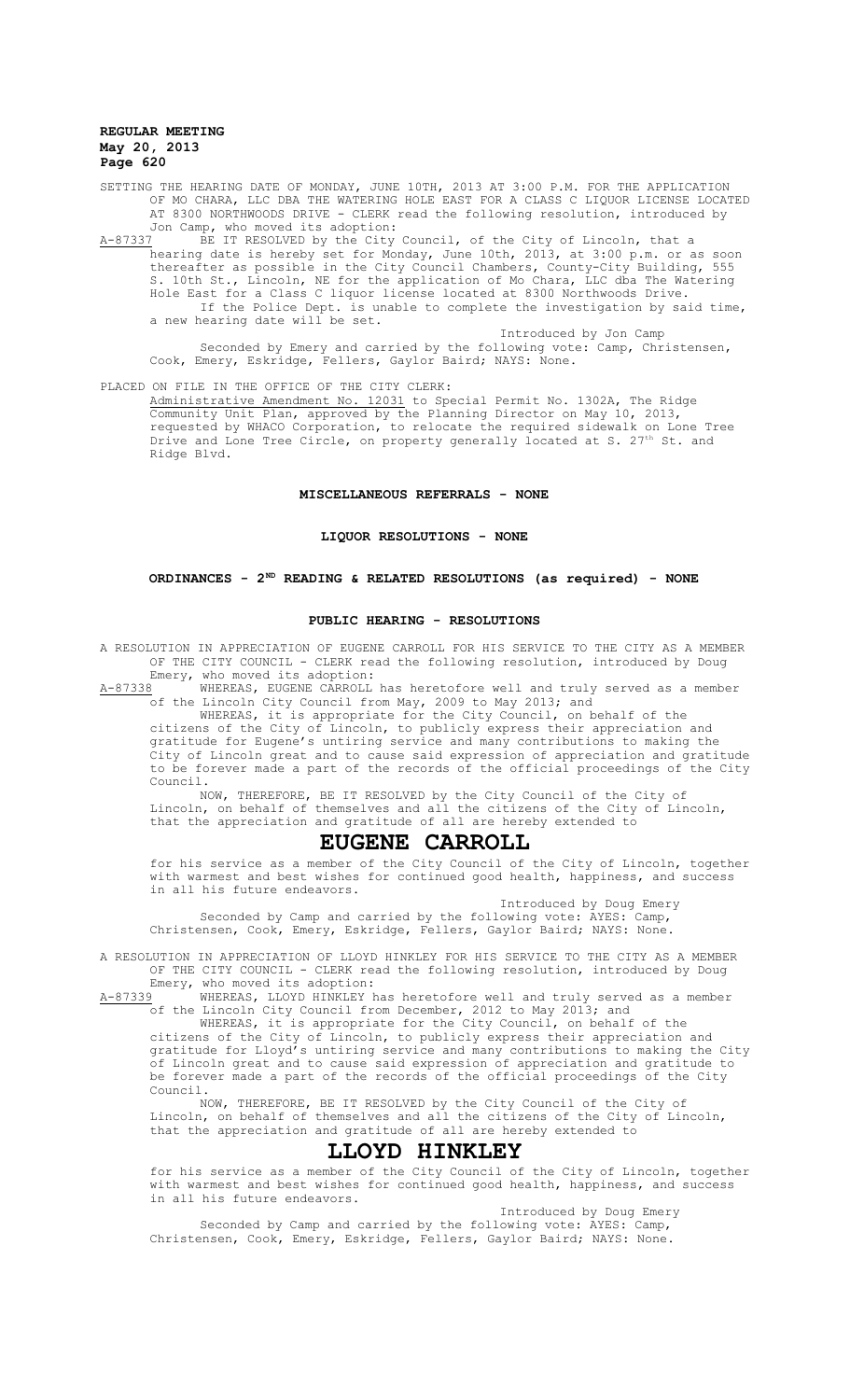SETTING THE HEARING DATE OF MONDAY, JUNE 10TH, 2013 AT 3:00 P.M. FOR THE APPLICATION OF MO CHARA, LLC DBA THE WATERING HOLE EAST FOR A CLASS C LIQUOR LICENSE LOCATED AT 8300 NORTHWOODS DRIVE - CLERK read the following resolution, introduced by Jon Camp, who moved its adoption:

A-87337 BE IT RESOLVED by the City Council, of the City of Lincoln, that a hearing date is hereby set for Monday, June 10th, 2013, at 3:00 p.m. or as soon thereafter as possible in the City Council Chambers, County-City Building, 555 S. 10th St., Lincoln, NE for the application of Mo Chara, LLC dba The Watering Hole East for a Class C liquor license located at 8300 Northwoods Drive. If the Police Dept. is unable to complete the investigation by said time, a new hearing date will be set.

Introduced by Jon Camp Seconded by Emery and carried by the following vote: Camp, Christensen, Cook, Emery, Eskridge, Fellers, Gaylor Baird; NAYS: None.

PLACED ON FILE IN THE OFFICE OF THE CITY CLERK:

Administrative Amendment No. 12031 to Special Permit No. 1302A, The Ridge Community Unit Plan, approved by the Planning Director on May 10, 2013, requested by WHACO Corporation, to relocate the required sidewalk on Lone Tree Drive and Lone Tree Circle, on property generally located at S. 27<sup>th</sup> St. and Ridge Blvd.

## **MISCELLANEOUS REFERRALS - NONE**

## **LIQUOR RESOLUTIONS - NONE**

## **ORDINANCES - 2ND READING & RELATED RESOLUTIONS (as required) - NONE**

#### **PUBLIC HEARING - RESOLUTIONS**

A RESOLUTION IN APPRECIATION OF EUGENE CARROLL FOR HIS SERVICE TO THE CITY AS A MEMBER OF THE CITY COUNCIL - CLERK read the following resolution, introduced by Doug Emery, who moved its adoption:

A-87338 WHEREAS, EUGENE CARROLL has heretofore well and truly served as a member of the Lincoln City Council from May, 2009 to May 2013; and

WHEREAS, it is appropriate for the City Council, on behalf of the citizens of the City of Lincoln, to publicly express their appreciation and gratitude for Eugene's untiring service and many contributions to making the City of Lincoln great and to cause said expression of appreciation and gratitude to be forever made a part of the records of the official proceedings of the City Council.

NOW, THEREFORE, BE IT RESOLVED by the City Council of the City of Lincoln, on behalf of themselves and all the citizens of the City of Lincoln, that the appreciation and gratitude of all are hereby extended to

# **EUGENE CARROLL**

for his service as a member of the City Council of the City of Lincoln, together with warmest and best wishes for continued good health, happiness, and success in all his future endeavors.

Introduced by Doug Emery Seconded by Camp and carried by the following vote: AYES: Camp, Christensen, Cook, Emery, Eskridge, Fellers, Gaylor Baird; NAYS: None.

A RESOLUTION IN APPRECIATION OF LLOYD HINKLEY FOR HIS SERVICE TO THE CITY AS A MEMBER OF THE CITY COUNCIL - CLERK read the following resolution, introduced by Doug Emery, who moved its adoption:

A-87339 WHEREAS, LLOYD HINKLEY has heretofore well and truly served as a member of the Lincoln City Council from December, 2012 to May 2013; and

WHEREAS, it is appropriate for the City Council, on behalf of the citizens of the City of Lincoln, to publicly express their appreciation and gratitude for Lloyd's untiring service and many contributions to making the City of Lincoln great and to cause said expression of appreciation and gratitude to be forever made a part of the records of the official proceedings of the City Council.

NOW, THEREFORE, BE IT RESOLVED by the City Council of the City of Lincoln, on behalf of themselves and all the citizens of the City of Lincoln, that the appreciation and gratitude of all are hereby extended to

# **LLOYD HINKLEY**

for his service as a member of the City Council of the City of Lincoln, together with warmest and best wishes for continued good health, happiness, and success in all his future endeavors.

Introduced by Doug Emery

Seconded by Camp and carried by the following vote: AYES: Camp, Christensen, Cook, Emery, Eskridge, Fellers, Gaylor Baird; NAYS: None.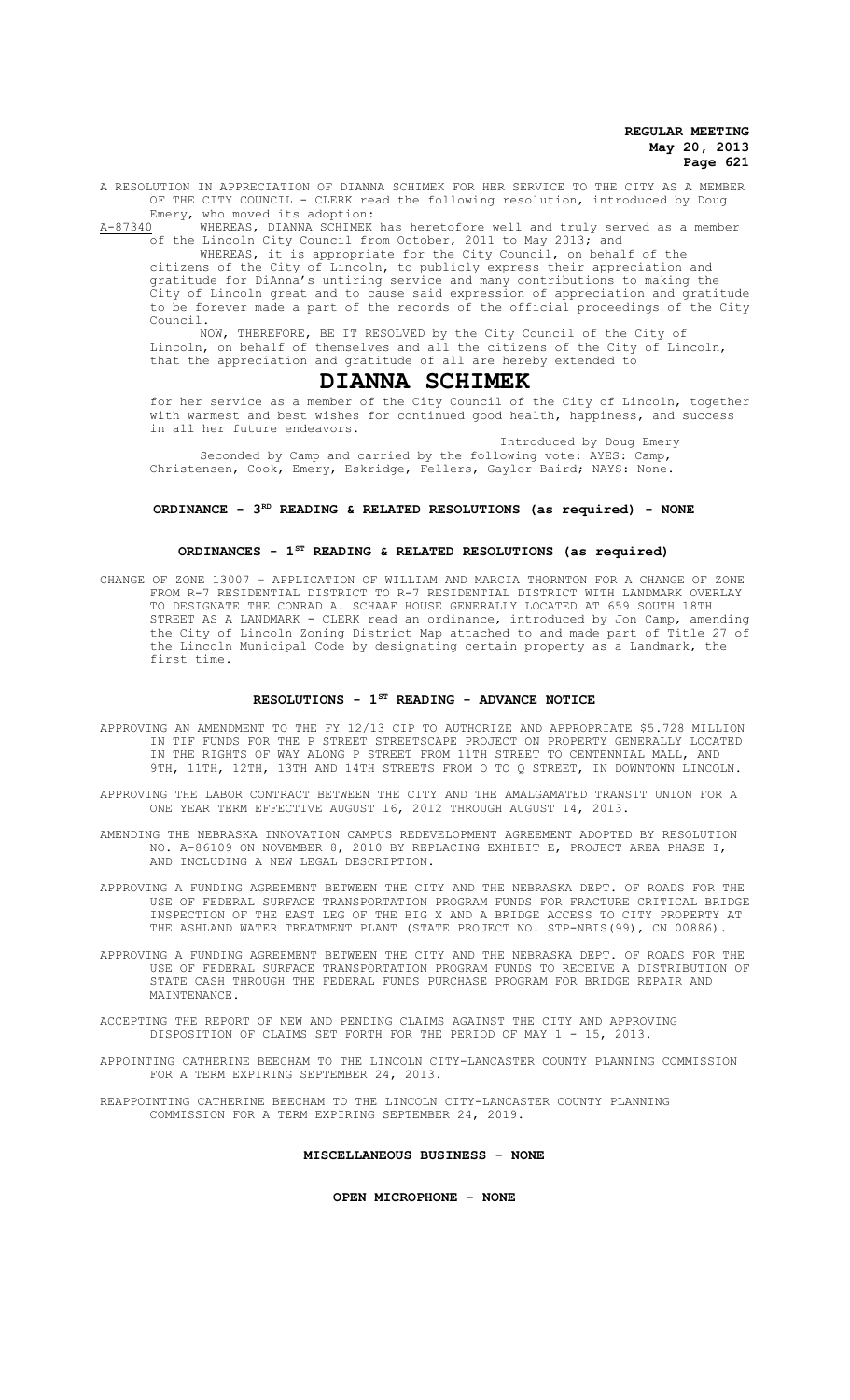A RESOLUTION IN APPRECIATION OF DIANNA SCHIMEK FOR HER SERVICE TO THE CITY AS A MEMBER OF THE CITY COUNCIL - CLERK read the following resolution, introduced by Doug

Emery, who moved its adoption:<br>A-87340 WHEREAS, DIANNA SCHIMEK WHEREAS, DIANNA SCHIMEK has heretofore well and truly served as a member of the Lincoln City Council from October, 2011 to May 2013; and

WHEREAS, it is appropriate for the City Council, on behalf of the citizens of the City of Lincoln, to publicly express their appreciation and gratitude for DiAnna's untiring service and many contributions to making the City of Lincoln great and to cause said expression of appreciation and gratitude to be forever made a part of the records of the official proceedings of the City Council.

NOW, THEREFORE, BE IT RESOLVED by the City Council of the City of Lincoln, on behalf of themselves and all the citizens of the City of Lincoln, that the appreciation and gratitude of all are hereby extended to

# **DIANNA SCHIMEK**

for her service as a member of the City Council of the City of Lincoln, together with warmest and best wishes for continued good health, happiness, and success in all her future endeavors.

Introduced by Doug Emery Seconded by Camp and carried by the following vote: AYES: Camp, Christensen, Cook, Emery, Eskridge, Fellers, Gaylor Baird; NAYS: None.

#### **ORDINANCE - 3RD READING & RELATED RESOLUTIONS (as required) - NONE**

#### **ORDINANCES - 1ST READING & RELATED RESOLUTIONS (as required)**

CHANGE OF ZONE 13007 – APPLICATION OF WILLIAM AND MARCIA THORNTON FOR A CHANGE OF ZONE FROM R-7 RESIDENTIAL DISTRICT TO R-7 RESIDENTIAL DISTRICT WITH LANDMARK OVERLAY TO DESIGNATE THE CONRAD A. SCHAAF HOUSE GENERALLY LOCATED AT 659 SOUTH 18TH STREET AS A LANDMARK - CLERK read an ordinance, introduced by Jon Camp, amending the City of Lincoln Zoning District Map attached to and made part of Title 27 of the Lincoln Municipal Code by designating certain property as a Landmark, the first time.

#### **RESOLUTIONS - 1ST READING - ADVANCE NOTICE**

- APPROVING AN AMENDMENT TO THE FY 12/13 CIP TO AUTHORIZE AND APPROPRIATE \$5.728 MILLION IN TIF FUNDS FOR THE P STREET STREETSCAPE PROJECT ON PROPERTY GENERALLY LOCATED IN THE RIGHTS OF WAY ALONG P STREET FROM 11TH STREET TO CENTENNIAL MALL, AND 9TH, 11TH, 12TH, 13TH AND 14TH STREETS FROM O TO Q STREET, IN DOWNTOWN LINCOLN.
- APPROVING THE LABOR CONTRACT BETWEEN THE CITY AND THE AMALGAMATED TRANSIT UNION FOR A ONE YEAR TERM EFFECTIVE AUGUST 16, 2012 THROUGH AUGUST 14, 2013.
- AMENDING THE NEBRASKA INNOVATION CAMPUS REDEVELOPMENT AGREEMENT ADOPTED BY RESOLUTION NO. A-86109 ON NOVEMBER 8, 2010 BY REPLACING EXHIBIT E, PROJECT AREA PHASE I, AND INCLUDING A NEW LEGAL DESCRIPTION.
- APPROVING A FUNDING AGREEMENT BETWEEN THE CITY AND THE NEBRASKA DEPT. OF ROADS FOR THE USE OF FEDERAL SURFACE TRANSPORTATION PROGRAM FUNDS FOR FRACTURE CRITICAL BRIDGE INSPECTION OF THE EAST LEG OF THE BIG X AND A BRIDGE ACCESS TO CITY PROPERTY AT THE ASHLAND WATER TREATMENT PLANT (STATE PROJECT NO. STP-NBIS(99), CN 00886).
- APPROVING A FUNDING AGREEMENT BETWEEN THE CITY AND THE NEBRASKA DEPT. OF ROADS FOR THE USE OF FEDERAL SURFACE TRANSPORTATION PROGRAM FUNDS TO RECEIVE A DISTRIBUTION OF STATE CASH THROUGH THE FEDERAL FUNDS PURCHASE PROGRAM FOR BRIDGE REPAIR AND MAINTENANCE.
- ACCEPTING THE REPORT OF NEW AND PENDING CLAIMS AGAINST THE CITY AND APPROVING DISPOSITION OF CLAIMS SET FORTH FOR THE PERIOD OF MAY 1 - 15, 2013.
- APPOINTING CATHERINE BEECHAM TO THE LINCOLN CITY-LANCASTER COUNTY PLANNING COMMISSION FOR A TERM EXPIRING SEPTEMBER 24, 2013.
- REAPPOINTING CATHERINE BEECHAM TO THE LINCOLN CITY-LANCASTER COUNTY PLANNING COMMISSION FOR A TERM EXPIRING SEPTEMBER 24, 2019.

## **MISCELLANEOUS BUSINESS - NONE**

**OPEN MICROPHONE - NONE**